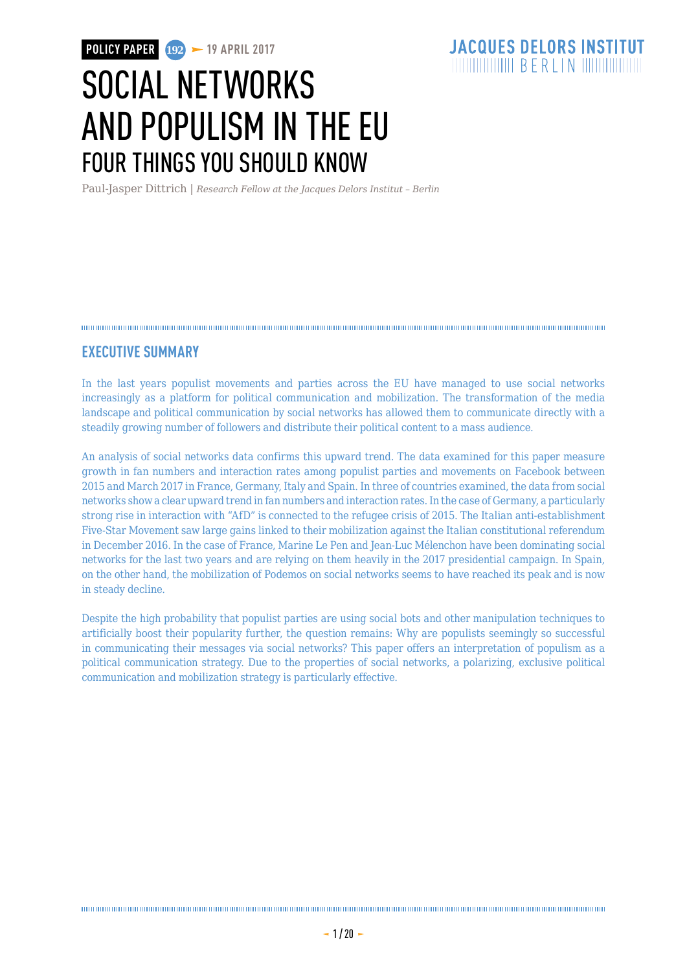# SOCIAL NETWORKS AND POPULISM IN THE EU FOUR THINGS YOU SHOULD KNOW

Paul-Jasper Dittrich | *Research Fellow at the Jacques Delors Institut – Berlin*

#### 

### **EXECUTIVE SUMMARY**

In the last years populist movements and parties across the EU have managed to use social networks increasingly as a platform for political communication and mobilization. The transformation of the media landscape and political communication by social networks has allowed them to communicate directly with a steadily growing number of followers and distribute their political content to a mass audience.

An analysis of social networks data confirms this upward trend. The data examined for this paper measure growth in fan numbers and interaction rates among populist parties and movements on Facebook between 2015 and March 2017 in France, Germany, Italy and Spain. In three of countries examined, the data from social networks show a clear upward trend in fan numbers and interaction rates. In the case of Germany, a particularly strong rise in interaction with "AfD" is connected to the refugee crisis of 2015. The Italian anti-establishment Five-Star Movement saw large gains linked to their mobilization against the Italian constitutional referendum in December 2016. In the case of France, Marine Le Pen and Jean-Luc Mélenchon have been dominating social networks for the last two years and are relying on them heavily in the 2017 presidential campaign. In Spain, on the other hand, the mobilization of Podemos on social networks seems to have reached its peak and is now in steady decline.

Despite the high probability that populist parties are using social bots and other manipulation techniques to artificially boost their popularity further, the question remains: Why are populists seemingly so successful in communicating their messages via social networks? This paper offers an interpretation of populism as a political communication strategy. Due to the properties of social networks, a polarizing, exclusive political communication and mobilization strategy is particularly effective.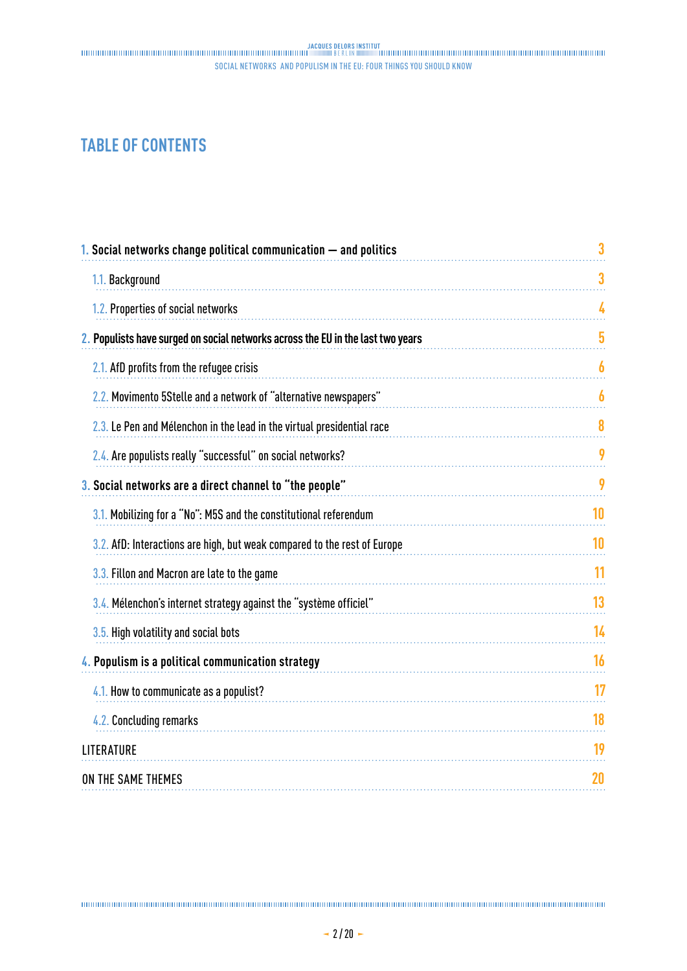## **TABLE OF CONTENTS**

| 3  |
|----|
| 3  |
| 4  |
| 5  |
| 6  |
| 6  |
| 8  |
| 9  |
| 9  |
| 10 |
| 10 |
| 11 |
| 13 |
| 14 |
| 16 |
| 17 |
| 18 |
| 19 |
| 20 |
|    |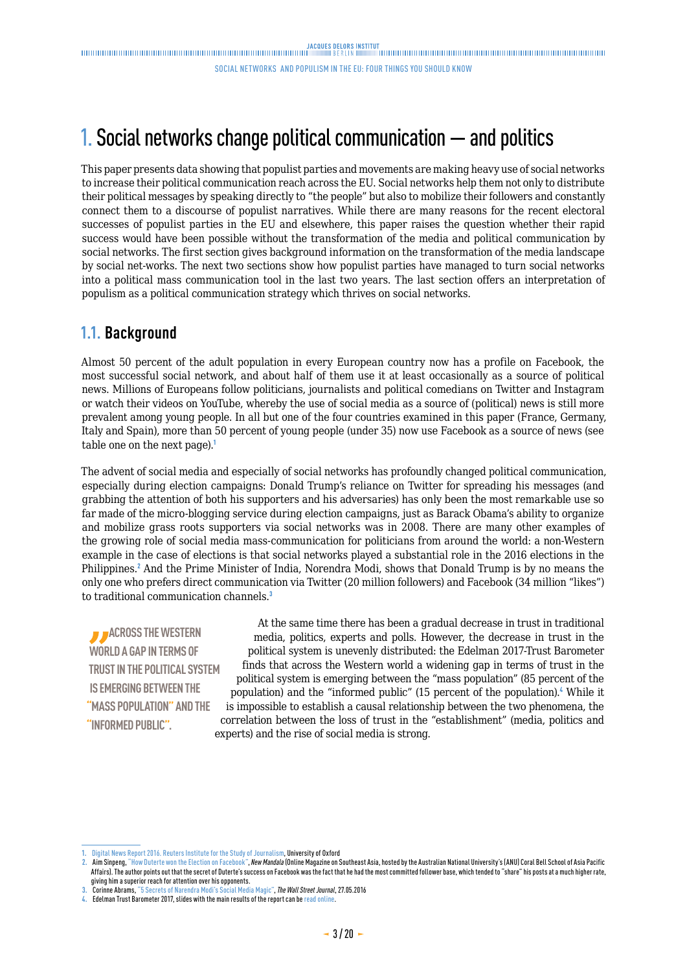## <span id="page-2-0"></span>1. Social networks change political communication — and politics

This paper presents data showing that populist parties and movements are making heavy use of social networks to increase their political communication reach across the EU. Social networks help them not only to distribute their political messages by speaking directly to "the people" but also to mobilize their followers and constantly connect them to a discourse of populist narratives. While there are many reasons for the recent electoral successes of populist parties in the EU and elsewhere, this paper raises the question whether their rapid success would have been possible without the transformation of the media and political communication by social networks. The first section gives background information on the transformation of the media landscape by social net-works. The next two sections show how populist parties have managed to turn social networks into a political mass communication tool in the last two years. The last section offers an interpretation of populism as a political communication strategy which thrives on social networks.

#### **1.1. Background**

Almost 50 percent of the adult population in every European country now has a profile on Facebook, the most successful social network, and about half of them use it at least occasionally as a source of political news. Millions of Europeans follow politicians, journalists and political comedians on Twitter and Instagram or watch their videos on YouTube, whereby the use of social media as a source of (political) news is still more prevalent among young people. In all but one of the four countries examined in this paper (France, Germany, Italy and Spain), more than 50 percent of young people (under 35) now use Facebook as a source of news (see table one on the next page).<sup>1</sup>

The advent of social media and especially of social networks has profoundly changed political communication, especially during election campaigns: Donald Trump's reliance on Twitter for spreading his messages (and grabbing the attention of both his supporters and his adversaries) has only been the most remarkable use so far made of the micro-blogging service during election campaigns, just as Barack Obama's ability to organize and mobilize grass roots supporters via social networks was in 2008. There are many other examples of the growing role of social media mass-communication for politicians from around the world: a non-Western example in the case of elections is that social networks played a substantial role in the 2016 elections in the Philippines.<sup>2</sup> And the Prime Minister of India, Norendra Modi, shows that Donald Trump is by no means the only one who prefers direct communication via Twitter (20 million followers) and Facebook (34 million "likes") to traditional communication channels.<sup>3</sup>

**ACROSS THE WESTERN WORLD A GAP IN TERMS OF TRUST IN THE POLITICAL SYSTEM IS EMERGING BETWEEN THE "MASS POPULATION" AND THE "INFORMED PUBLIC".**

At the same time there has been a gradual decrease in trust in traditional media, politics, experts and polls. However, the decrease in trust in the political system is unevenly distributed: the Edelman 2017-Trust Barometer finds that across the Western world a widening gap in terms of trust in the political system is emerging between the "mass population" (85 percent of the population) and the "informed public" (15 percent of the population).<sup>4</sup> While it is impossible to establish a causal relationship between the two phenomena, the correlation between the loss of trust in the "establishment" (media, politics and experts) and the rise of social media is strong.

**<sup>1.</sup>** [Digital News Report 2016. Reuters Institute for the Study of Journalism](https://reutersinstitute.politics.ox.ac.uk/sites/default/files/Digital-News-Report-2016.pdf), University of Oxford

**<sup>2.</sup>** Aim Sinpeng, "[How Duterte won the Election on Facebook"](http://www.newmandala.org/how-duterte-won-the-election-on-facebook/), *New Mandala* (Online Magazine on Southeast Asia, hosted by the Australian National University's (ANU) Coral Bell School of Asia Pacific Affairs). The author points out that the secret of Duterte's success on Facebook was the fact that he had the most committed follower base, which tended to "share" his posts at a much higher rate, giving him a superior reach for attention over his opponents.

**<sup>3.</sup>** Corinne Abrams, "[5 Secrets of Narendra Modi's Social Media Magic](http://blogs.wsj.com/briefly/2016/05/27/5-secrets-of-narendra-modis-social-media-magic/)", *The Wall Street Journal*, 27.05.2016

**<sup>4.</sup>** Edelman Trust Barometer 2017, slides with the main results of the report can be [read online.](http://www.edelman.com/global-results/)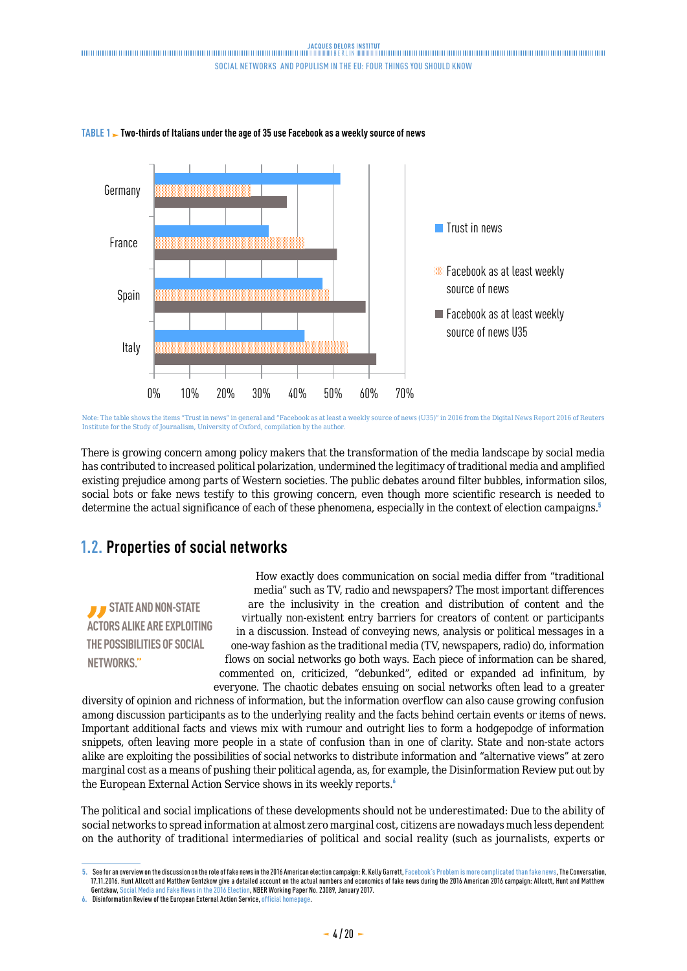

#### <span id="page-3-0"></span>**TABLE 1 Two-thirds of Italians under the age of 35 use Facebook as a weekly source of news**

Note: The table shows the items "Trust in news" in general and "Facebook as at least a weekly source of news (U35)" in 2016 from the Digital News Report 2016 of Reuters Institute for the Study of Journalism, University of Oxford, compilation by the author.

There is growing concern among policy makers that the transformation of the media landscape by social media has contributed to increased political polarization, undermined the legitimacy of traditional media and amplified existing prejudice among parts of Western societies. The public debates around filter bubbles, information silos, social bots or fake news testify to this growing concern, even though more scientific research is needed to determine the actual significance of each of these phenomena, especially in the context of election campaigns.<sup>5</sup>

## **1.2. Properties of social networks**

*B* STATE AND NON-STATE **ACTORS ALIKE ARE EXPLOITING THE POSSIBILITIES OF SOCIAL NETWORKS."**

How exactly does communication on social media differ from "traditional media" such as TV, radio and newspapers? The most important differences are the inclusivity in the creation and distribution of content and the virtually non-existent entry barriers for creators of content or participants in a discussion. Instead of conveying news, analysis or political messages in a one-way fashion as the traditional media (TV, newspapers, radio) do, information flows on social networks go both ways. Each piece of information can be shared, commented on, criticized, "debunked", edited or expanded ad infinitum, by everyone. The chaotic debates ensuing on social networks often lead to a greater

diversity of opinion and richness of information, but the information overflow can also cause growing confusion among discussion participants as to the underlying reality and the facts behind certain events or items of news. Important additional facts and views mix with rumour and outright lies to form a hodgepodge of information snippets, often leaving more people in a state of confusion than in one of clarity. State and non-state actors alike are exploiting the possibilities of social networks to distribute information and "alternative views" at zero marginal cost as a means of pushing their political agenda, as, for example, the Disinformation Review put out by the European External Action Service shows in its weekly reports.<sup>6</sup>

The political and social implications of these developments should not be underestimated: Due to the ability of social networks to spread information at almost zero marginal cost, citizens are nowadays much less dependent on the authority of traditional intermediaries of political and social reality (such as journalists, experts or

**<sup>5.</sup>** See for an overview on the discussion on the role of fake news in the 2016 American election campaign: R. Kelly Garrett, [Facebook's Problem is more complicated than fake news](https://theconversation.com/facebooks-problem-is-more-complicated-than-fake-news-68886), The Conversation, 17.11.2016. Hunt Allcott and Matthew Gentzkow give a detailed account on the actual numbers and economics of fake news during the 2016 American 2016 campaign: Allcott, Hunt and Matthew Gentzkow, [Social Media and Fake News in the 2016 Election,](https://web.stanford.edu/~gentzkow/research/fakenews.pdf) NBER Working Paper No. 23089, January 2017.

**<sup>6.</sup>** Disinformation Review of the European External Action Service, [official homepage.](https://euvsdisinfo.eu/homepage/disinformation-review/)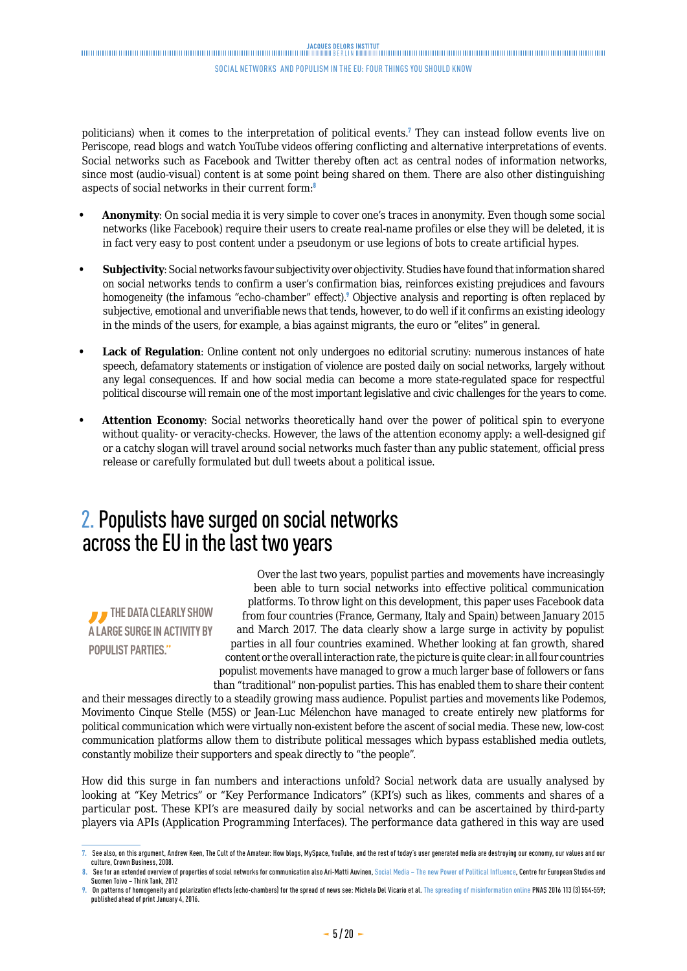<span id="page-4-0"></span>politicians) when it comes to the interpretation of political events.<sup>7</sup> They can instead follow events live on Periscope, read blogs and watch YouTube videos offering conflicting and alternative interpretations of events. Social networks such as Facebook and Twitter thereby often act as central nodes of information networks, since most (audio-visual) content is at some point being shared on them. There are also other distinguishing aspects of social networks in their current form:<sup>8</sup>

- **• Anonymity**: On social media it is very simple to cover one's traces in anonymity. Even though some social networks (like Facebook) require their users to create real-name profiles or else they will be deleted, it is in fact very easy to post content under a pseudonym or use legions of bots to create artificial hypes.
- **• Subjectivity**: Social networks favour subjectivity over objectivity. Studies have found that information shared on social networks tends to confirm a user's confirmation bias, reinforces existing prejudices and favours homogeneity (the infamous "echo-chamber" effect).<sup>9</sup> Objective analysis and reporting is often replaced by subjective, emotional and unverifiable news that tends, however, to do well if it confirms an existing ideology in the minds of the users, for example, a bias against migrants, the euro or "elites" in general.
- **Lack of Regulation**: Online content not only undergoes no editorial scrutiny: numerous instances of hate speech, defamatory statements or instigation of violence are posted daily on social networks, largely without any legal consequences. If and how social media can become a more state-regulated space for respectful political discourse will remain one of the most important legislative and civic challenges for the years to come.
- **• Attention Economy**: Social networks theoretically hand over the power of political spin to everyone without quality- or veracity-checks. However, the laws of the attention economy apply: a well-designed gif or a catchy slogan will travel around social networks much faster than any public statement, official press release or carefully formulated but dull tweets about a political issue.

## 2. Populists have surged on social networks across the EU in the last two years

**THE DATA CLEARLY SHOW A LARGE SURGE IN ACTIVITY BY POPULIST PARTIES."**

Over the last two years, populist parties and movements have increasingly been able to turn social networks into effective political communication platforms. To throw light on this development, this paper uses Facebook data from four countries (France, Germany, Italy and Spain) between January 2015 and March 2017. The data clearly show a large surge in activity by populist parties in all four countries examined. Whether looking at fan growth, shared content or the overall interaction rate, the picture is quite clear: in all four countries populist movements have managed to grow a much larger base of followers or fans than "traditional" non-populist parties. This has enabled them to share their content

and their messages directly to a steadily growing mass audience. Populist parties and movements like Podemos, Movimento Cinque Stelle (M5S) or Jean-Luc Mélenchon have managed to create entirely new platforms for political communication which were virtually non-existent before the ascent of social media. These new, low-cost communication platforms allow them to distribute political messages which bypass established media outlets, constantly mobilize their supporters and speak directly to "the people".

How did this surge in fan numbers and interactions unfold? Social network data are usually analysed by looking at "Key Metrics" or "Key Performance Indicators" (KPI's) such as likes, comments and shares of a particular post. These KPI's are measured daily by social networks and can be ascertained by third-party players via APIs (Application Programming Interfaces). The performance data gathered in this way are used

**<sup>7.</sup>** See also, on this argument, Andrew Keen, The Cult of the Amateur: How blogs, MySpace, YouTube, and the rest of today's user generated media are destroying our economy, our values and our culture, Crown Business, 2008.

<sup>8.</sup> See for an extended overview of properties of social networks for communication also Ari-Matti Auvinen, [Social Media – The new Power of Political Influence](file:///C:\Users\Dittrich\Downloads\Social_Media_in_Politics_Ama%20(1).pdf), Centre for European Studies and Suomen Toivo – Think Tank, 2012

<sup>9.</sup> On patterns of homogeneity and polarization effects (echo-chambers) for the spread of news see: Michela Del Vicario et al. [The spreading of misinformation online](http://www.pnas.org/content/113/3/554.full) PNAS 2016 113 (3) 554-559; published ahead of print January 4, 2016.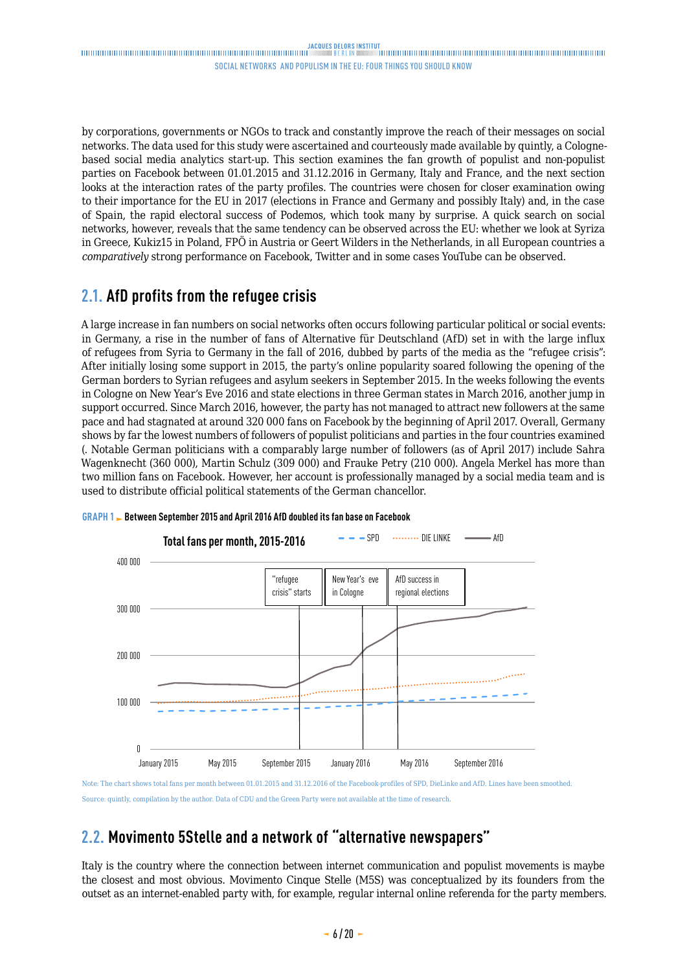<span id="page-5-0"></span>by corporations, governments or NGOs to track and constantly improve the reach of their messages on social networks. The data used for this study were ascertained and courteously made available by quintly, a Colognebased social media analytics start-up. This section examines the fan growth of populist and non-populist parties on Facebook between 01.01.2015 and 31.12.2016 in Germany, Italy and France, and the next section looks at the interaction rates of the party profiles. The countries were chosen for closer examination owing to their importance for the EU in 2017 (elections in France and Germany and possibly Italy) and, in the case of Spain, the rapid electoral success of Podemos, which took many by surprise. A quick search on social networks, however, reveals that the same tendency can be observed across the EU: whether we look at Syriza in Greece, Kukiz15 in Poland, FPÖ in Austria or Geert Wilders in the Netherlands, in all European countries a *comparatively* strong performance on Facebook, Twitter and in some cases YouTube can be observed.

### **2.1. AfD profits from the refugee crisis**

A large increase in fan numbers on social networks often occurs following particular political or social events: in Germany, a rise in the number of fans of Alternative für Deutschland (AfD) set in with the large influx of refugees from Syria to Germany in the fall of 2016, dubbed by parts of the media as the "refugee crisis": After initially losing some support in 2015, the party's online popularity soared following the opening of the German borders to Syrian refugees and asylum seekers in September 2015. In the weeks following the events in Cologne on New Year's Eve 2016 and state elections in three German states in March 2016, another jump in support occurred. Since March 2016, however, the party has not managed to attract new followers at the same pace and had stagnated at around 320 000 fans on Facebook by the beginning of April 2017. Overall, Germany shows by far the lowest numbers of followers of populist politicians and parties in the four countries examined (. Notable German politicians with a comparably large number of followers (as of April 2017) include Sahra Wagenknecht (360 000), Martin Schulz (309 000) and Frauke Petry (210 000). Angela Merkel has more than two million fans on Facebook. However, her account is professionally managed by a social media team and is used to distribute official political statements of the German chancellor.



**GRAPH 1 Between September 2015 and April 2016 AfD doubled its fan base on Facebook**

Note: The chart shows total fans per month between 01.01.2015 and 31.12.2016 of the Facebook-profiles of SPD, DieLinke and AfD. Lines have been smoothed. Source: quintly, compilation by the author. Data of CDU and the Green Party were not available at the time of research.

## **2.2. Movimento 5Stelle and a network of "alternative newspapers"**

Italy is the country where the connection between internet communication and populist movements is maybe the closest and most obvious. Movimento Cinque Stelle (M5S) was conceptualized by its founders from the outset as an internet-enabled party with, for example, regular internal online referenda for the party members.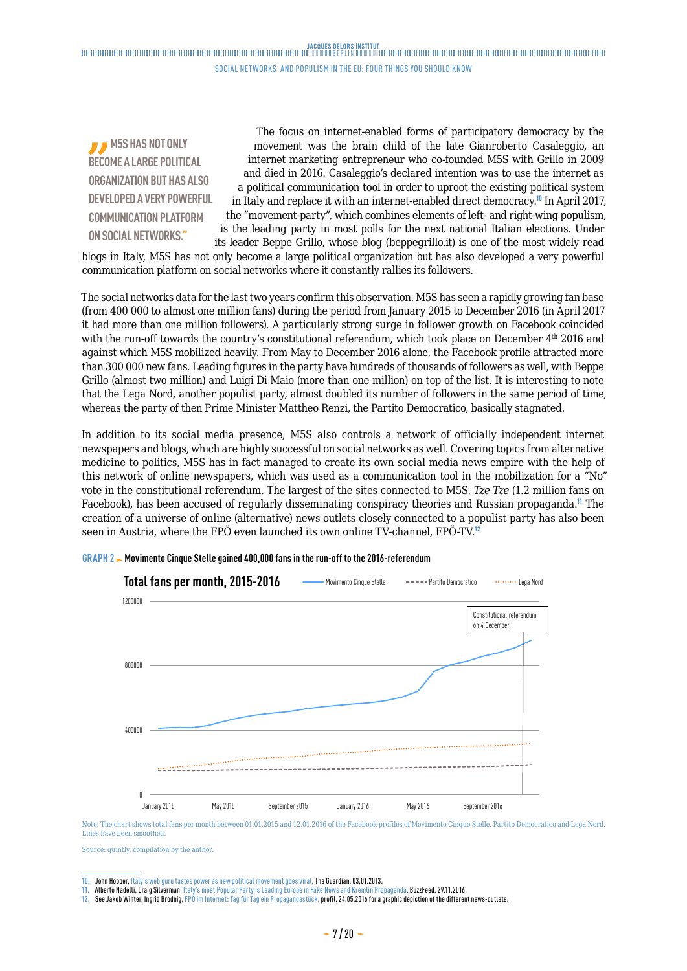## 

#### social networks and populism in the eu: four things you should know

**M5S HAS NOT ONLY BECOME A LARGE POLITICAL ORGANIZATION BUT HAS ALSO DEVELOPED A VERY POWERFUL COMMUNICATION PLATFORM ON SOCIAL NETWORKS."**

The focus on internet-enabled forms of participatory democracy by the movement was the brain child of the late Gianroberto Casaleggio, an internet marketing entrepreneur who co-founded M5S with Grillo in 2009 and died in 2016. Casaleggio's declared intention was to use the internet as a political communication tool in order to uproot the existing political system in Italy and replace it with an internet-enabled direct democracy.<sup>10</sup> In April 2017, the "movement-party", which combines elements of left- and right-wing populism, is the leading party in most polls for the next national Italian elections. Under its leader Beppe Grillo, whose blog (beppegrillo.it) is one of the most widely read

blogs in Italy, M5S has not only become a large political organization but has also developed a very powerful communication platform on social networks where it constantly rallies its followers.

The social networks data for the last two years confirm this observation. M5S has seen a rapidly growing fan base (from 400 000 to almost one million fans) during the period from January 2015 to December 2016 (in April 2017 it had more than one million followers). A particularly strong surge in follower growth on Facebook coincided with the run-off towards the country's constitutional referendum, which took place on December 4<sup>th</sup> 2016 and against which M5S mobilized heavily. From May to December 2016 alone, the Facebook profile attracted more than 300 000 new fans. Leading figures in the party have hundreds of thousands of followers as well, with Beppe Grillo (almost two million) and Luigi Di Maio (more than one million) on top of the list. It is interesting to note that the Lega Nord, another populist party, almost doubled its number of followers in the same period of time, whereas the party of then Prime Minister Mattheo Renzi, the Partito Democratico, basically stagnated.

In addition to its social media presence, M5S also controls a network of officially independent internet newspapers and blogs, which are highly successful on social networks as well. Covering topics from alternative medicine to politics, M5S has in fact managed to create its own social media news empire with the help of this network of online newspapers, which was used as a communication tool in the mobilization for a "No" vote in the constitutional referendum. The largest of the sites connected to M5S, *Tze Tze* (1.2 million fans on Facebook), has been accused of regularly disseminating conspiracy theories and Russian propaganda.<sup>11</sup> The creation of a universe of online (alternative) news outlets closely connected to a populist party has also been seen in Austria, where the FPÖ even launched its own online TV-channel, FPÖ-TV.<sup>12</sup>



#### **GRAPH 2 Movimento Cinque Stelle gained 400,000 fans in the run-off to the 2016-referendum**

Note: The chart shows total fans per month between 01.01.2015 and 12.01.2016 of the Facebook-profiles of Movimento Cinque Stelle, Partito Democratico and Lega Nord. Lines have been smoothed.

Source: quintly, compilation by the author.

**<sup>10.</sup>** John Hooper, [Italy's web guru tastes power as new political movement goes viral](https://www.theguardian.com/world/2013/jan/03/italy-five-star-movement-internet), The Guardian, 03.01.2013.

**<sup>11.</sup>** Alberto Nadelli, Craig Silverman, Italy's most Popular Party is Leading Europe in Fake News and Kremlin Propaganda, BuzzFeed, 29.11.2016.

**<sup>12.</sup>** See Jakob Winter, Ingrid Brodnig, [FPÖ im Internet: Tag für Tag ein Propagandastück,](https://www.profil.at/oesterreich/fpoe-strache-internet-tag-tag-propagandastueck-6378335) profil, 24.05.2016 for a graphic depiction of the different news-outlets.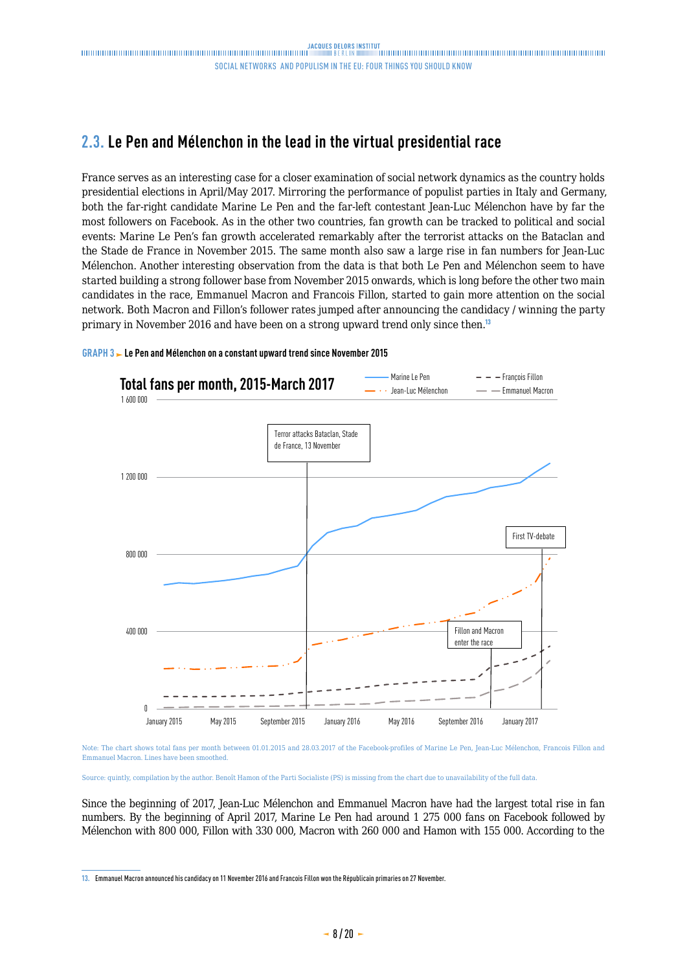### <span id="page-7-0"></span>**2.3. Le Pen and Mélenchon in the lead in the virtual presidential race**

France serves as an interesting case for a closer examination of social network dynamics as the country holds presidential elections in April/May 2017. Mirroring the performance of populist parties in Italy and Germany, both the far-right candidate Marine Le Pen and the far-left contestant Jean-Luc Mélenchon have by far the most followers on Facebook. As in the other two countries, fan growth can be tracked to political and social events: Marine Le Pen's fan growth accelerated remarkably after the terrorist attacks on the Bataclan and the Stade de France in November 2015. The same month also saw a large rise in fan numbers for Jean-Luc Mélenchon. Another interesting observation from the data is that both Le Pen and Mélenchon seem to have started building a strong follower base from November 2015 onwards, which is long before the other two main candidates in the race, Emmanuel Macron and Francois Fillon, started to gain more attention on the social network. Both Macron and Fillon's follower rates jumped after announcing the candidacy / winning the party primary in November 2016 and have been on a strong upward trend only since then.<sup>13</sup>



**GRAPH 3 Le Pen and Mélenchon on a constant upward trend since November 2015** 

Note: The chart shows total fans per month between 01.01.2015 and 28.03.2017 of the Facebook-profiles of Marine Le Pen, Jean-Luc Mélenchon, Francois Fillon and Emmanuel Macron. Lines have been smoothed.

Source: quintly, compilation by the author. Benoît Hamon of the Parti Socialiste (PS) is missing from the chart due to unavailability of the full data.

Since the beginning of 2017, Jean-Luc Mélenchon and Emmanuel Macron have had the largest total rise in fan numbers. By the beginning of April 2017, Marine Le Pen had around 1 275 000 fans on Facebook followed by Mélenchon with 800 000, Fillon with 330 000, Macron with 260 000 and Hamon with 155 000. According to the

**<sup>13.</sup>** Emmanuel Macron announced his candidacy on 11 November 2016 and Francois Fillon won the Républicain primaries on 27 November.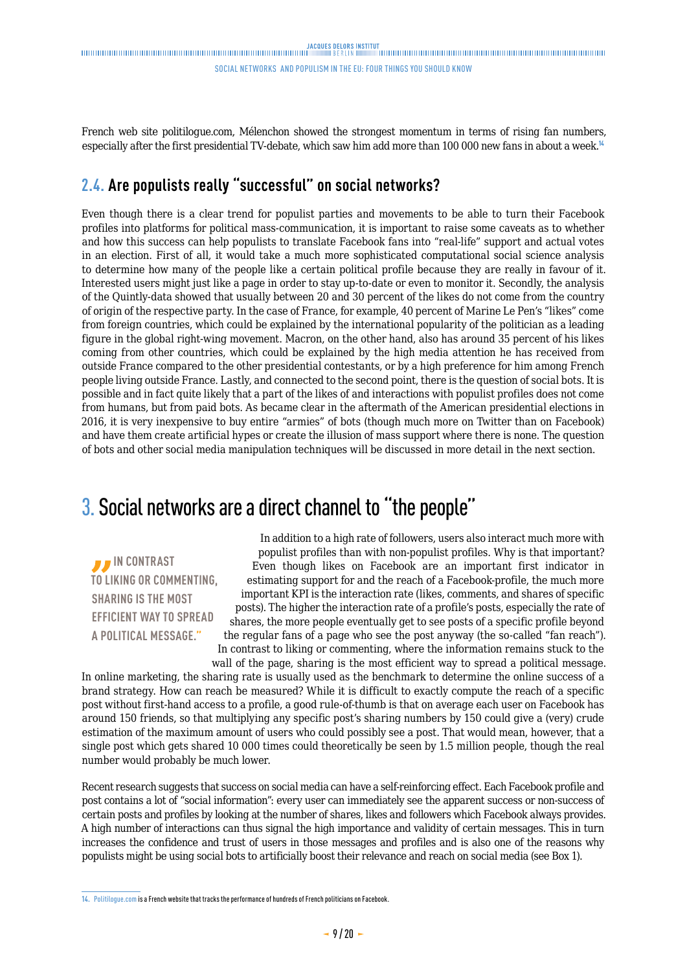<span id="page-8-0"></span>French web site politilogue.com, Mélenchon showed the strongest momentum in terms of rising fan numbers, especially after the first presidential TV-debate, which saw him add more than 100 000 new fans in about a week.<sup>14</sup>

### **2.4. Are populists really "successful" on social networks?**

Even though there is a clear trend for populist parties and movements to be able to turn their Facebook profiles into platforms for political mass-communication, it is important to raise some caveats as to whether and how this success can help populists to translate Facebook fans into "real-life" support and actual votes in an election. First of all, it would take a much more sophisticated computational social science analysis to determine how many of the people like a certain political profile because they are really in favour of it. Interested users might just like a page in order to stay up-to-date or even to monitor it. Secondly, the analysis of the Quintly-data showed that usually between 20 and 30 percent of the likes do not come from the country of origin of the respective party. In the case of France, for example, 40 percent of Marine Le Pen's "likes" come from foreign countries, which could be explained by the international popularity of the politician as a leading figure in the global right-wing movement. Macron, on the other hand, also has around 35 percent of his likes coming from other countries, which could be explained by the high media attention he has received from outside France compared to the other presidential contestants, or by a high preference for him among French people living outside France. Lastly, and connected to the second point, there is the question of social bots. It is possible and in fact quite likely that a part of the likes of and interactions with populist profiles does not come from humans, but from paid bots. As became clear in the aftermath of the American presidential elections in 2016, it is very inexpensive to buy entire "armies" of bots (though much more on Twitter than on Facebook) and have them create artificial hypes or create the illusion of mass support where there is none. The question of bots and other social media manipulation techniques will be discussed in more detail in the next section.

## 3. Social networks are a direct channel to "the people"

*I* IN CONTRAST **TO LIKING OR COMMENTING, SHARING IS THE MOST EFFICIENT WAY TO SPREAD A POLITICAL MESSAGE."**

In addition to a high rate of followers, users also interact much more with populist profiles than with non-populist profiles. Why is that important? Even though likes on Facebook are an important first indicator in estimating support for and the reach of a Facebook-profile, the much more important KPI is the interaction rate (likes, comments, and shares of specific posts). The higher the interaction rate of a profile's posts, especially the rate of shares, the more people eventually get to see posts of a specific profile beyond the regular fans of a page who see the post anyway (the so-called "fan reach"). In contrast to liking or commenting, where the information remains stuck to the wall of the page, sharing is the most efficient way to spread a political message.

In online marketing, the sharing rate is usually used as the benchmark to determine the online success of a brand strategy. How can reach be measured? While it is difficult to exactly compute the reach of a specific post without first-hand access to a profile, a good rule-of-thumb is that on average each user on Facebook has around 150 friends, so that multiplying any specific post's sharing numbers by 150 could give a (very) crude estimation of the maximum amount of users who could possibly see a post. That would mean, however, that a single post which gets shared 10 000 times could theoretically be seen by 1.5 million people, though the real number would probably be much lower.

Recent research suggests that success on social media can have a self-reinforcing effect. Each Facebook profile and post contains a lot of "social information": every user can immediately see the apparent success or non-success of certain posts and profiles by looking at the number of shares, likes and followers which Facebook always provides. A high number of interactions can thus signal the high importance and validity of certain messages. This in turn increases the confidence and trust of users in those messages and profiles and is also one of the reasons why populists might be using social bots to artificially boost their relevance and reach on social media (see Box 1).

**<sup>14.</sup>** [Politilogue.com](http://www.politologue.com/) is a French website that tracks the performance of hundreds of French politicians on Facebook.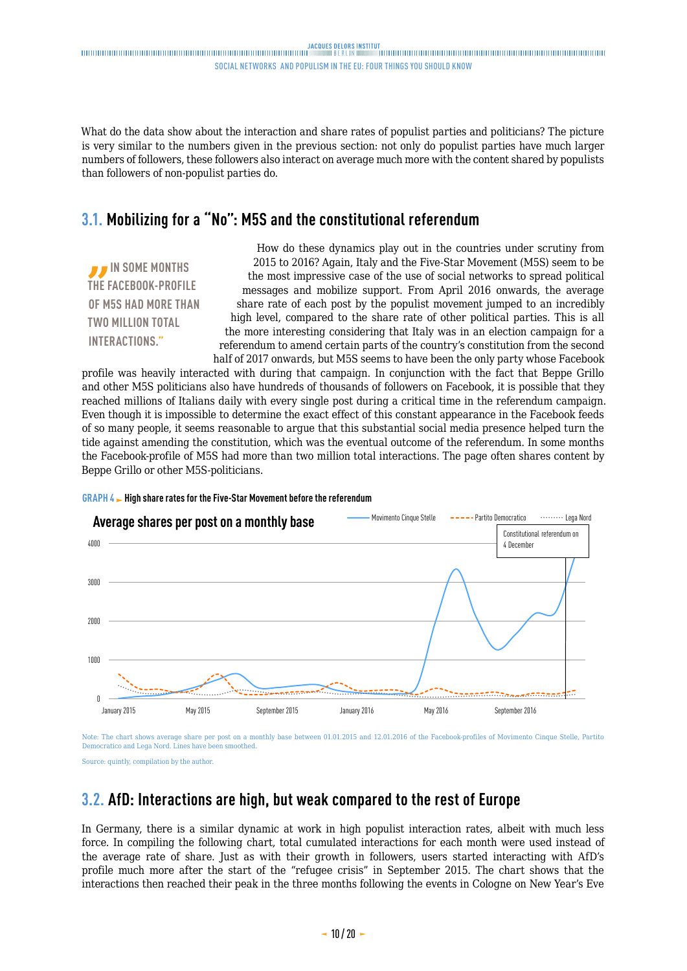<span id="page-9-0"></span>What do the data show about the interaction and share rates of populist parties and politicians? The picture is very similar to the numbers given in the previous section: not only do populist parties have much larger numbers of followers, these followers also interact on average much more with the content shared by populists than followers of non-populist parties do.

#### **3.1. Mobilizing for a "No": M5S and the constitutional referendum**

*IN SOME MONTHS* **THE FACEBOOK-PROFILE OF M5S HAD MORE THAN TWO MILLION TOTAL INTERACTIONS."**

How do these dynamics play out in the countries under scrutiny from 2015 to 2016? Again, Italy and the Five-Star Movement (M5S) seem to be the most impressive case of the use of social networks to spread political messages and mobilize support. From April 2016 onwards, the average share rate of each post by the populist movement jumped to an incredibly high level, compared to the share rate of other political parties. This is all the more interesting considering that Italy was in an election campaign for a referendum to amend certain parts of the country's constitution from the second half of 2017 onwards, but M5S seems to have been the only party whose Facebook

profile was heavily interacted with during that campaign. In conjunction with the fact that Beppe Grillo and other M5S politicians also have hundreds of thousands of followers on Facebook, it is possible that they reached millions of Italians daily with every single post during a critical time in the referendum campaign. Even though it is impossible to determine the exact effect of this constant appearance in the Facebook feeds of so many people, it seems reasonable to argue that this substantial social media presence helped turn the tide against amending the constitution, which was the eventual outcome of the referendum. In some months the Facebook-profile of M5S had more than two million total interactions. The page often shares content by Beppe Grillo or other M5S-politicians.



#### **GRAPH 4 High share rates for the Five-Star Movement before the referendum**

Note: The chart shows average share per post on a monthly base between 01.01.2015 and 12.01.2016 of the Facebook-profiles of Movimento Cinque Stelle, Partito Democratico and Lega Nord. Lines have been smoothed.

Source: quintly, compilation by the author.

#### **3.2. AfD: Interactions are high, but weak compared to the rest of Europe**

In Germany, there is a similar dynamic at work in high populist interaction rates, albeit with much less force. In compiling the following chart, total cumulated interactions for each month were used instead of the average rate of share. Just as with their growth in followers, users started interacting with AfD's profile much more after the start of the "refugee crisis" in September 2015. The chart shows that the interactions then reached their peak in the three months following the events in Cologne on New Year's Eve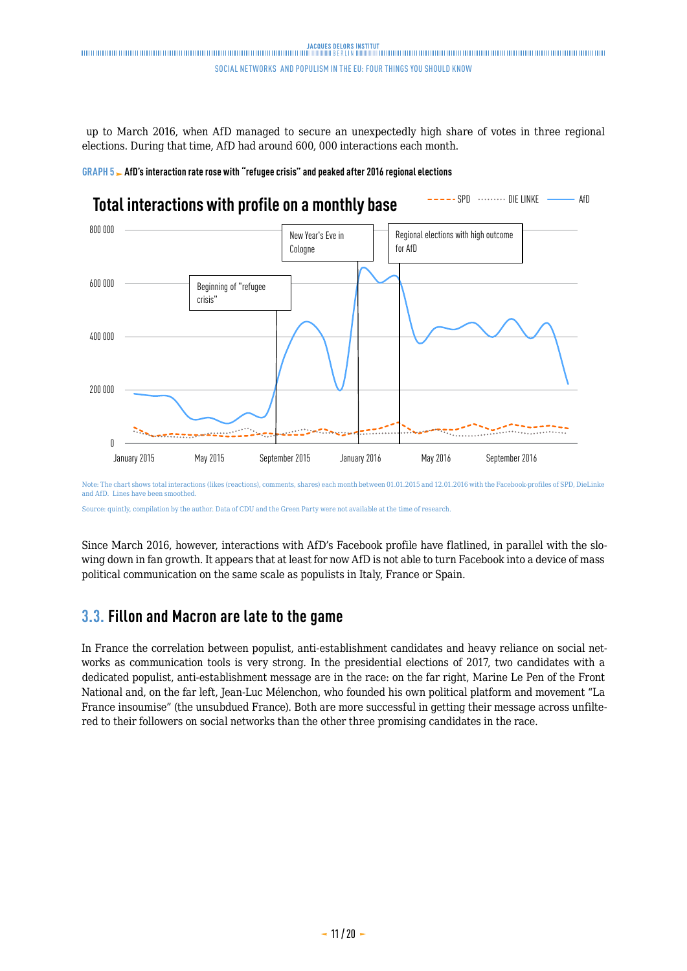<span id="page-10-0"></span> up to March 2016, when AfD managed to secure an unexpectedly high share of votes in three regional elections. During that time, AfD had around 600, 000 interactions each month.



## **Total interactions with profile on a monthly base SPD SPD CONSTANT CONSTANT** AfD



Note: The chart shows total interactions (likes (reactions), comments, shares) each month between 01.01.2015 and 12.01.2016 with the Facebook-profiles of SPD, DieLinke and AfD. Lines have been smoothed.

Source: quintly, compilation by the author. Data of CDU and the Green Party were not available at the time of research.

Since March 2016, however, interactions with AfD's Facebook profile have flatlined, in parallel with the slowing down in fan growth. It appears that at least for now AfD is not able to turn Facebook into a device of mass political communication on the same scale as populists in Italy, France or Spain.

### **3.3. Fillon and Macron are late to the game**

In France the correlation between populist, anti-establishment candidates and heavy reliance on social networks as communication tools is very strong. In the presidential elections of 2017, two candidates with a dedicated populist, anti-establishment message are in the race: on the far right, Marine Le Pen of the Front National and, on the far left, Jean-Luc Mélenchon, who founded his own political platform and movement "La France insoumise" (the unsubdued France). Both are more successful in getting their message across unfiltered to their followers on social networks than the other three promising candidates in the race.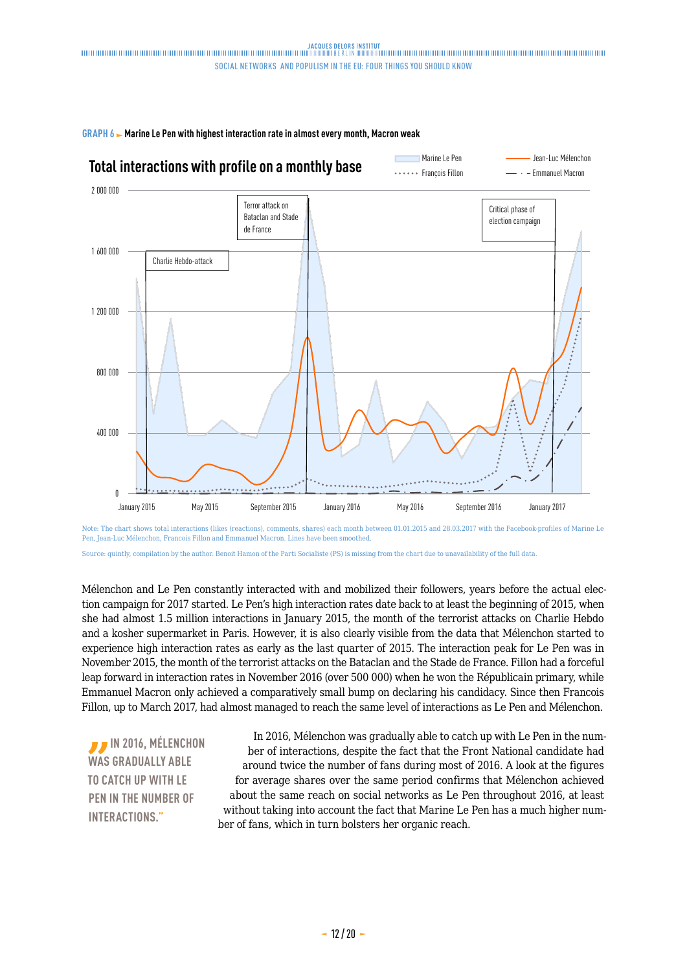

**GRAPH 6 Marine Le Pen with highest interaction rate in almost every month, Macron weak**

Note: The chart shows total interactions (likes (reactions), comments, shares) each month between 01.01.2015 and 28.03.2017 with the Facebook-profiles of Marine Le Pen, Jean-Luc Mélenchon, Francois Fillon and Emmanuel Macron. Lines have been smoothed.

Source: quintly, compilation by the author. Benoit Hamon of the Parti Socialiste (PS) is missing from the chart due to unavailability of the full data.

Mélenchon and Le Pen constantly interacted with and mobilized their followers, years before the actual election campaign for 2017 started. Le Pen's high interaction rates date back to at least the beginning of 2015, when she had almost 1.5 million interactions in January 2015, the month of the terrorist attacks on Charlie Hebdo and a kosher supermarket in Paris. However, it is also clearly visible from the data that Mélenchon started to experience high interaction rates as early as the last quarter of 2015. The interaction peak for Le Pen was in November 2015, the month of the terrorist attacks on the Bataclan and the Stade de France. Fillon had a forceful leap forward in interaction rates in November 2016 (over 500 000) when he won the Républicain primary, while Emmanuel Macron only achieved a comparatively small bump on declaring his candidacy. Since then Francois Fillon, up to March 2017, had almost managed to reach the same level of interactions as Le Pen and Mélenchon.

*I* IN 2016, MÉLENCHON **WAS GRADUALLY ABLE TO CATCH UP WITH LE PEN IN THE NUMBER OF INTERACTIONS."**

In 2016, Mélenchon was gradually able to catch up with Le Pen in the number of interactions, despite the fact that the Front National candidate had around twice the number of fans during most of 2016. A look at the figures for average shares over the same period confirms that Mélenchon achieved about the same reach on social networks as Le Pen throughout 2016, at least without taking into account the fact that Marine Le Pen has a much higher number of fans, which in turn bolsters her organic reach.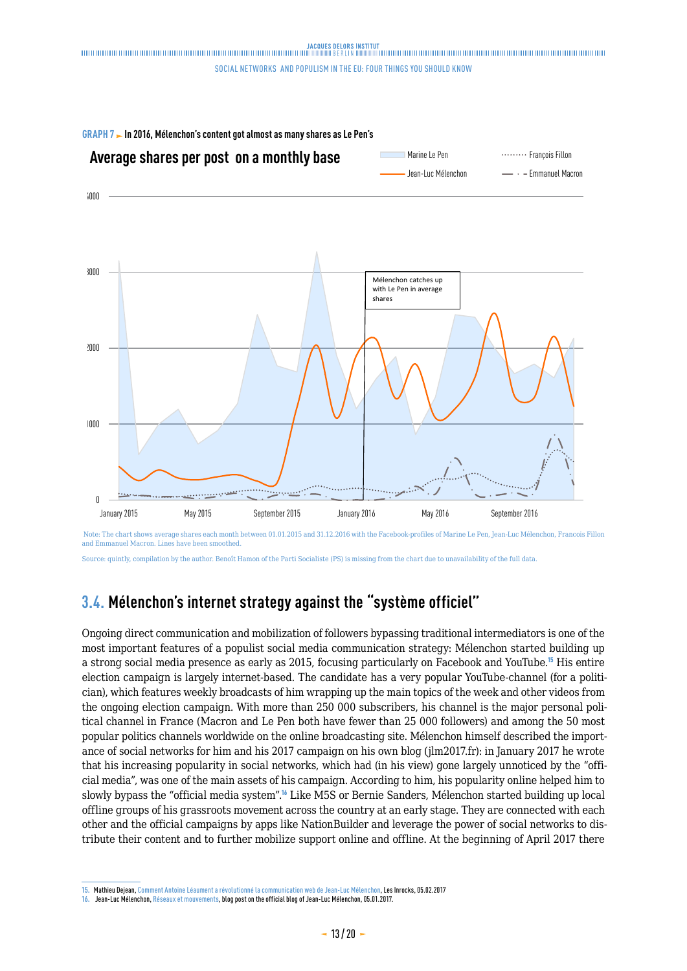<span id="page-12-0"></span>



 Note: The chart shows average shares each month between 01.01.2015 and 31.12.2016 with the Facebook-profiles of Marine Le Pen, Jean-Luc Mélenchon, Francois Fillon and Emmanuel Macron. Lines have been smoothed.

Source: quintly, compilation by the author. Benoît Hamon of the Parti Socialiste (PS) is missing from the chart due to unavailability of the full data.

### **3.4. Mélenchon's internet strategy against the "système officiel"**

Ongoing direct communication and mobilization of followers bypassing traditional intermediators is one of the most important features of a populist social media communication strategy: Mélenchon started building up a strong social media presence as early as 2015, focusing particularly on Facebook and YouTube.<sup>15</sup> His entire election campaign is largely internet-based. The candidate has a very popular YouTube-channel (for a politician), which features weekly broadcasts of him wrapping up the main topics of the week and other videos from the ongoing election campaign. With more than 250 000 subscribers, his channel is the major personal political channel in France (Macron and Le Pen both have fewer than 25 000 followers) and among the 50 most popular politics channels worldwide on the online broadcasting site. Mélenchon himself described the importance of social networks for him and his 2017 campaign on his own blog (jlm2017.fr): in January 2017 he wrote that his increasing popularity in social networks, which had (in his view) gone largely unnoticed by the "official media", was one of the main assets of his campaign. According to him, his popularity online helped him to slowly bypass the "official media system".<sup>16</sup> Like M5S or Bernie Sanders, Mélenchon started building up local offline groups of his grassroots movement across the country at an early stage. They are connected with each other and the official campaigns by apps like NationBuilder and leverage the power of social networks to distribute their content and to further mobilize support online and offline. At the beginning of April 2017 there

**<sup>15.</sup>** Mathieu Dejean, [Comment Antoine Léaument a révolutionné la communication web de Jean-Luc Mélenchon,](http://www.lesinrocks.com/2017/02/05/actualite/antoine-leaument-a-revolutionne-communication-web-de-jean-luc-melenchon-11909563/) Les Inrocks, 05.02.2017

**<sup>16.</sup>** Jean-Luc Mélenchon, [Réseaux et mouvements,](http://melenchon.fr/2017/01/05/reseaux-et-mouvements/) blog post on the official blog of Jean-Luc Mélenchon, 05.01.2017.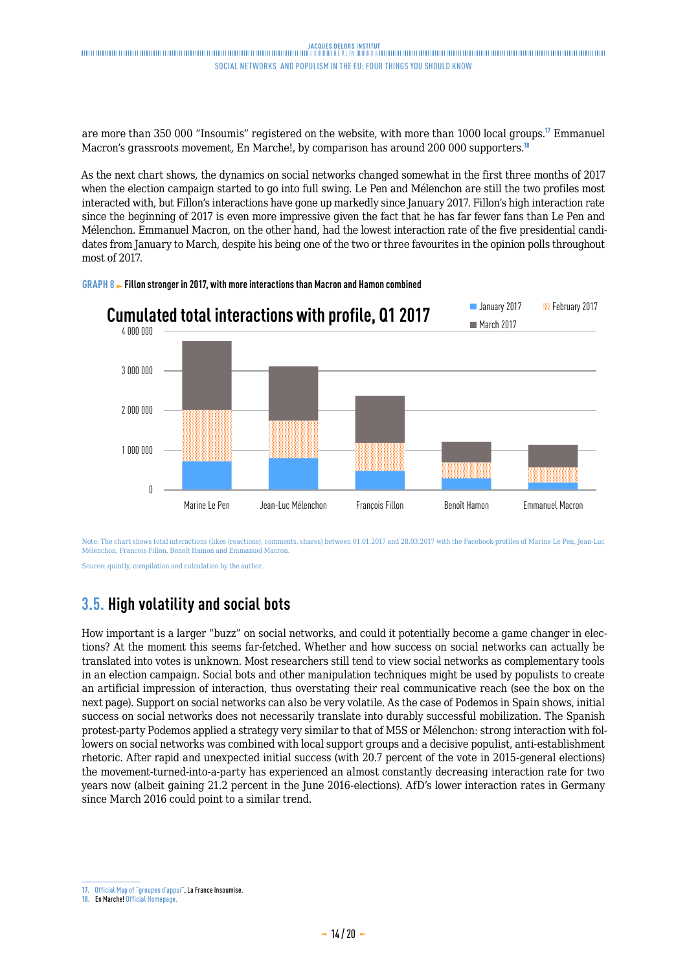<span id="page-13-0"></span>are more than 350 000 "Insoumis" registered on the website, with more than 1000 local groups.<sup>17</sup> Emmanuel Macron's grassroots movement, En Marche!, by comparison has around 200 000 supporters.<sup>18</sup>

As the next chart shows, the dynamics on social networks changed somewhat in the first three months of 2017 when the election campaign started to go into full swing. Le Pen and Mélenchon are still the two profiles most interacted with, but Fillon's interactions have gone up markedly since January 2017. Fillon's high interaction rate since the beginning of 2017 is even more impressive given the fact that he has far fewer fans than Le Pen and Mélenchon. Emmanuel Macron, on the other hand, had the lowest interaction rate of the five presidential candidates from January to March, despite his being one of the two or three favourites in the opinion polls throughout most of 2017.



**GRAPH 8 Fillon stronger in 2017, with more interactions than Macron and Hamon combined** 

Note: The chart shows total interactions (likes (reactions), comments, shares) between 01.01.2017 and 28.03.2017 with the Facebook-profiles of Marine Le Pen, Jean-Luc Mélenchon, Francois Fillon, Benoît Hamon and Emmanuel Macron.

Source: quintly, compilation and calculation by the author.

#### **3.5. High volatility and social bots**

How important is a larger "buzz" on social networks, and could it potentially become a game changer in elections? At the moment this seems far-fetched. Whether and how success on social networks can actually be translated into votes is unknown. Most researchers still tend to view social networks as complementary tools in an election campaign. Social bots and other manipulation techniques might be used by populists to create an artificial impression of interaction, thus overstating their real communicative reach (see the box on the next page). Support on social networks can also be very volatile. As the case of Podemos in Spain shows, initial success on social networks does not necessarily translate into durably successful mobilization. The Spanish protest-party Podemos applied a strategy very similar to that of M5S or Mélenchon: strong interaction with followers on social networks was combined with local support groups and a decisive populist, anti-establishment rhetoric. After rapid and unexpected initial success (with 20.7 percent of the vote in 2015-general elections) the movement-turned-into-a-party has experienced an almost constantly decreasing interaction rate for two years now (albeit gaining 21.2 percent in the June 2016-elections). AfD's lower interaction rates in Germany since March 2016 could point to a similar trend.

**<sup>17.</sup>** [Official Map of "groupes d'appui",](http://f-i.jlm2017.fr/carte) La France Insoumise.

**<sup>18.</sup>** En Marche! [Official Homepage](https://en-marche.fr/le-mouvement).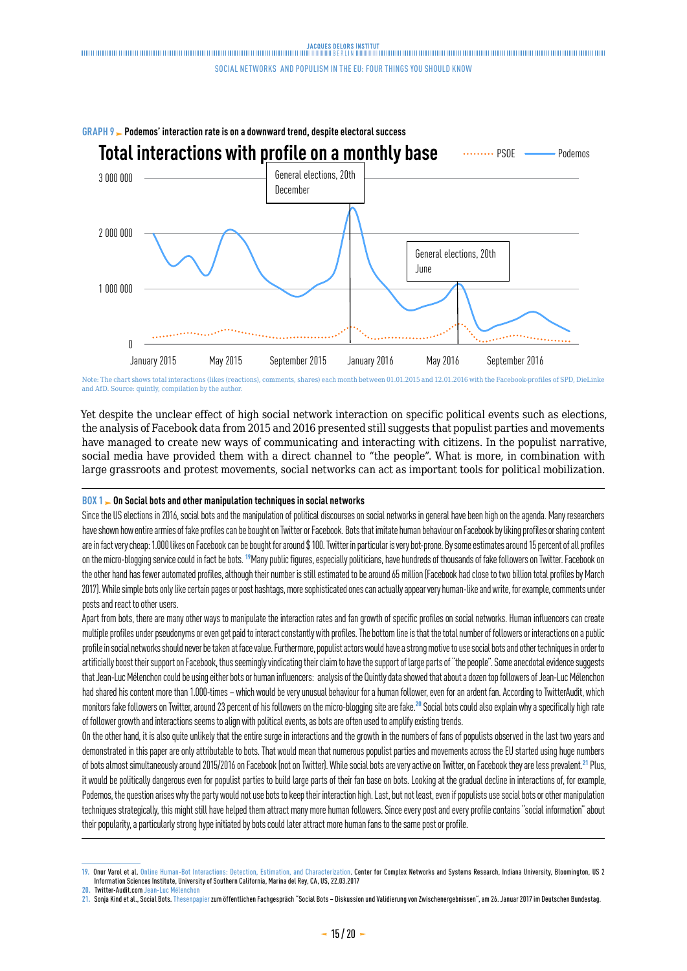

Note: The chart shows total interactions (likes (reactions), comments, shares) each month between 01.01.2015 and 12.01.2016 with the Facebook-profiles of SPD, DieLinke and AfD. Source: quintly, compilation by the author.

Yet despite the unclear effect of high social network interaction on specific political events such as elections, the analysis of Facebook data from 2015 and 2016 presented still suggests that populist parties and movements have managed to create new ways of communicating and interacting with citizens. In the populist narrative, social media have provided them with a direct channel to "the people". What is more, in combination with large grassroots and protest movements, social networks can act as important tools for political mobilization.

#### **BOX 1 DON Social bots and other manipulation techniques in social networks**

Since the US elections in 2016, social bots and the manipulation of political discourses on social networks in general have been high on the agenda. Many researchers have shown how entire armies of fake profiles can be bought on Twitter or Facebook. Bots that imitate human behaviour on Facebook by liking profiles or sharing content are in fact very cheap: 1.000 likes on Facebook can be bought for around \$ 100. Twitter in particular is very bot-prone. By some estimates around 15 percent of all profiles on the micro-blogging service could in fact be bots. <sup>19</sup>Many public figures, especially politicians, have hundreds of thousands of fake followers on Twitter. Facebook on the other hand has fewer automated profiles, although their number is still estimated to be around 65 million (Facebook had close to two billion total profiles by March 2017). While simple bots only like certain pages or post hashtags, more sophisticated ones can actually appear very human-like and write, for example, comments under posts and react to other users.

Apart from bots, there are many other ways to manipulate the interaction rates and fan growth of specific profiles on social networks. Human influencers can create multiple profiles under pseudonyms or even get paid to interact constantly with profiles. The bottom line is that the total number of followers or interactions on a public profile in social networks should never be taken at face value. Furthermore, populist actors would have a strong motive to use social bots and other techniques in order to artificially boost their support on Facebook, thus seemingly vindicating their claim to have the support of large parts of "the people". Some anecdotal evidence suggests that Jean-Luc Mélenchon could be using either bots or human influencers: analysis of the Quintly data showed that about a dozen top followers of Jean-Luc Mélenchon had shared his content more than 1.000-times – which would be very unusual behaviour for a human follower, even for an ardent fan. According to TwitterAudit, which monitors fake followers on Twitter, around 23 percent of his followers on the micro-blogging site are fake.<sup>20</sup> Social bots could also explain why a specifically high rate of follower growth and interactions seems to align with political events, as bots are often used to amplify existing trends.

On the other hand, it is also quite unlikely that the entire surge in interactions and the growth in the numbers of fans of populists observed in the last two years and demonstrated in this paper are only attributable to bots. That would mean that numerous populist parties and movements across the EU started using huge numbers of bots almost simultaneously around 2015/2016 on Facebook (not on Twitter). While social bots are very active on Twitter, on Facebook they are less prevalent.<sup>21</sup> Plus, it would be politically dangerous even for populist parties to build large parts of their fan base on bots. Looking at the gradual decline in interactions of, for example, Podemos, the question arises why the party would not use bots to keep their interaction high. Last, but not least, even if populists use social bots or other manipulation techniques strategically, this might still have helped them attract many more human followers. Since every post and every profile contains "social information" about their popularity, a particularly strong hype initiated by bots could later attract more human fans to the same post or profile.

<sup>19.</sup> Onur Varol et al. [Online Human-Bot Interactions: Detection, Estimation, and Characterization.](https://arxiv.org/pdf/1703.03107.pdf) Center for Complex Networks and Systems Research, Indiana University, Bloomington, US 2<br>Information Sciences Institute, Univ

**<sup>20.</sup>** Twitter-Audit.com [Jean-Luc Mélenchon](https://www.twitteraudit.com/JLMelenchon)

**<sup>21.</sup>** Sonja Kind et al., Social Bots. [Thesenpapier](https://www.bundestag.de/blob/488564/4a87d2d5b867b0464ef457831fb8e642/thesenpapier-data.pdf) zum öffentlichen Fachgespräch "Social Bots – Diskussion und Validierung von Zwischenergebnissen", am 26. Januar 2017 im Deutschen Bundestag.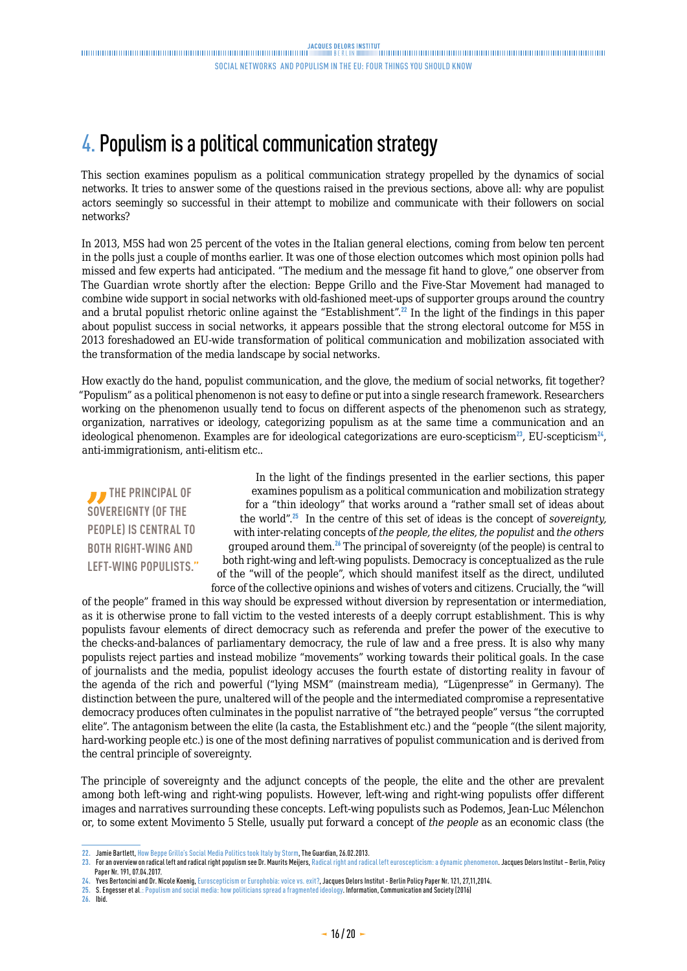## <span id="page-15-0"></span>4. Populism is a political communication strategy

This section examines populism as a political communication strategy propelled by the dynamics of social networks. It tries to answer some of the questions raised in the previous sections, above all: why are populist actors seemingly so successful in their attempt to mobilize and communicate with their followers on social networks?

In 2013, M5S had won 25 percent of the votes in the Italian general elections, coming from below ten percent in the polls just a couple of months earlier. It was one of those election outcomes which most opinion polls had missed and few experts had anticipated. "The medium and the message fit hand to glove," one observer from The Guardian wrote shortly after the election: Beppe Grillo and the Five-Star Movement had managed to combine wide support in social networks with old-fashioned meet-ups of supporter groups around the country and a brutal populist rhetoric online against the "Establishment".<sup>22</sup> In the light of the findings in this paper about populist success in social networks, it appears possible that the strong electoral outcome for M5S in 2013 foreshadowed an EU-wide transformation of political communication and mobilization associated with the transformation of the media landscape by social networks.

How exactly do the hand, populist communication, and the glove, the medium of social networks, fit together? "Populism" as a political phenomenon is not easy to define or put into a single research framework. Researchers working on the phenomenon usually tend to focus on different aspects of the phenomenon such as strategy, organization, narratives or ideology, categorizing populism as at the same time a communication and an ideological phenomenon. Examples are for ideological categorizations are euro-scepticism<sup>23</sup>, EU-scepticism<sup>24</sup>, anti-immigrationism, anti-elitism etc..

*I* THE PRINCIPAL OF **SOVEREIGNTY (OF THE PEOPLE) IS CENTRAL TO BOTH RIGHT-WING AND LEFT-WING POPULISTS."**

In the light of the findings presented in the earlier sections, this paper examines populism as a political communication and mobilization strategy for a "thin ideology" that works around a "rather small set of ideas about the world".<sup>25</sup> In the centre of this set of ideas is the concept of *sovereignty,* with inter-relating concepts of *the people, the elites, the populist* and *the others*  grouped around them.<sup>26</sup> The principal of sovereignty (of the people) is central to both right-wing and left-wing populists. Democracy is conceptualized as the rule of the "will of the people", which should manifest itself as the direct, undiluted force of the collective opinions and wishes of voters and citizens. Crucially, the "will

of the people" framed in this way should be expressed without diversion by representation or intermediation, as it is otherwise prone to fall victim to the vested interests of a deeply corrupt establishment. This is why populists favour elements of direct democracy such as referenda and prefer the power of the executive to the checks-and-balances of parliamentary democracy, the rule of law and a free press. It is also why many populists reject parties and instead mobilize "movements" working towards their political goals. In the case of journalists and the media, populist ideology accuses the fourth estate of distorting reality in favour of the agenda of the rich and powerful ("lying MSM" (mainstream media), "Lügenpresse" in Germany). The distinction between the pure, unaltered will of the people and the intermediated compromise a representative democracy produces often culminates in the populist narrative of "the betrayed people" versus "the corrupted elite". The antagonism between the elite (la casta, the Establishment etc.) and the "people "(the silent majority, hard-working people etc.) is one of the most defining narratives of populist communication and is derived from the central principle of sovereignty.

The principle of sovereignty and the adjunct concepts of the people, the elite and the other are prevalent among both left-wing and right-wing populists. However, left-wing and right-wing populists offer different images and narratives surrounding these concepts. Left-wing populists such as Podemos, Jean-Luc Mélenchon or, to some extent Movimento 5 Stelle, usually put forward a concept of *the people* as an economic class (the

**26.** Ibid.

**<sup>22.</sup>** Jamie Bartlett, [How Beppe Grillo's Social Media Politics took Italy by Storm,](https://www.theguardian.com/commentisfree/2013/feb/26/beppe-grillo-politics-social-media-italy) The Guardian, 26.02.2013.

<sup>23.</sup> For an overview on radical left and radical right populism see Dr. Maurits Meijers, [Radical right and radical left euroscepticism: a dynamic phenomenon.](http://www.delorsinstitut.de/2015/wp-content/uploads/2017/04/20170407_Euroscepticism-Meijers.pdf) Jacques Delors Institut – Berlin, Policy Paper Nr. 191, 07.04.2017

**<sup>24.</sup>** Yves Bertoncini and Dr. Nicole Koenig, [Euroscepticism or Europhobia: voice vs. exit?,](http://www.institutdelors.eu/media/euroscepticismoreurophobia-bertoncini-koenig-ne-jdi-nov14.pdf?pdf=ok) Jacques Delors Institut - Berlin Policy Paper Nr. 121, 27,11,2014.

**<sup>25.</sup>** S. Engesser et al.: [Populism and social media: how politicians spread a fragmented ideology](http://www.nccr-democracy.uzh.ch/publications/workingpaper/pdf/wp_88.pdf). Information, Communication and Society (2016)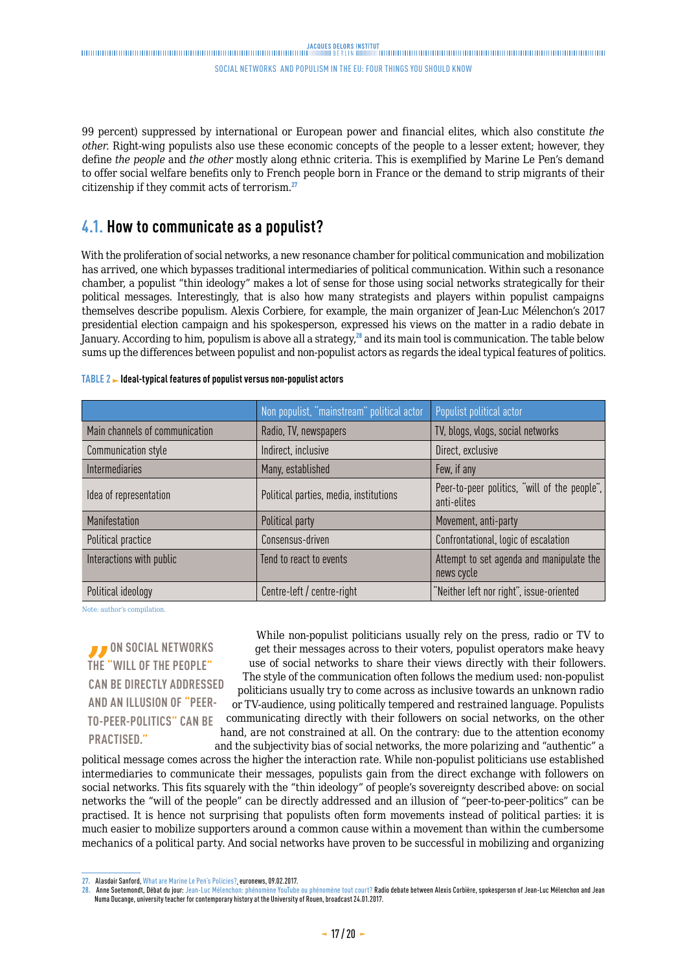### <span id="page-16-0"></span>

#### social networks and populism in the eu: four things you should know

99 percent) suppressed by international or European power and financial elites, which also constitute *the other*. Right-wing populists also use these economic concepts of the people to a lesser extent; however, they define *the people* and *the other* mostly along ethnic criteria. This is exemplified by Marine Le Pen's demand to offer social welfare benefits only to French people born in France or the demand to strip migrants of their citizenship if they commit acts of terrorism.<sup>27</sup>

#### **4.1. How to communicate as a populist?**

With the proliferation of social networks, a new resonance chamber for political communication and mobilization has arrived, one which bypasses traditional intermediaries of political communication. Within such a resonance chamber, a populist "thin ideology" makes a lot of sense for those using social networks strategically for their political messages. Interestingly, that is also how many strategists and players within populist campaigns themselves describe populism. Alexis Corbiere, for example, the main organizer of Jean-Luc Mélenchon's 2017 presidential election campaign and his spokesperson, expressed his views on the matter in a radio debate in January. According to him, populism is above all a strategy,<sup>28</sup> and its main tool is communication. The table below sums up the differences between populist and non-populist actors as regards the ideal typical features of politics.

|                                | Non populist, "mainstream" political actor | Populist political actor                                    |
|--------------------------------|--------------------------------------------|-------------------------------------------------------------|
| Main channels of communication | Radio, TV, newspapers                      | TV, blogs, vlogs, social networks                           |
| Communication style            | Indirect, inclusive                        | Direct, exclusive                                           |
| <b>Intermediaries</b>          | Many, established                          | Few, if any                                                 |
| Idea of representation         | Political parties, media, institutions     | Peer-to-peer politics, "will of the people",<br>anti-elites |
| Manifestation                  | Political party                            | Movement, anti-party                                        |
| Political practice             | Consensus-driven                           | Confrontational, logic of escalation                        |
| Interactions with public       | Tend to react to events                    | Attempt to set agenda and manipulate the<br>news cycle      |
| Political ideology             | Centre-left / centre-right                 | "Neither left nor right", issue-oriented                    |

#### **TABLE 2 - Ideal-typical features of populist versus non-populist actors**

Note: author's compilation.

*D* ON SOCIAL NETWORKS **THE "WILL OF THE PEOPLE" CAN BE DIRECTLY ADDRESSED AND AN ILLUSION OF "PEER-TO-PEER-POLITICS" CAN BE PRACTISED."**

While non-populist politicians usually rely on the press, radio or TV to get their messages across to their voters, populist operators make heavy use of social networks to share their views directly with their followers. The style of the communication often follows the medium used: non-populist politicians usually try to come across as inclusive towards an unknown radio or TV-audience, using politically tempered and restrained language. Populists communicating directly with their followers on social networks, on the other hand, are not constrained at all. On the contrary: due to the attention economy and the subjectivity bias of social networks, the more polarizing and "authentic" a

political message comes across the higher the interaction rate. While non-populist politicians use established intermediaries to communicate their messages, populists gain from the direct exchange with followers on social networks. This fits squarely with the "thin ideology" of people's sovereignty described above: on social networks the "will of the people" can be directly addressed and an illusion of "peer-to-peer-politics" can be practised. It is hence not surprising that populists often form movements instead of political parties: it is much easier to mobilize supporters around a common cause within a movement than within the cumbersome mechanics of a political party. And social networks have proven to be successful in mobilizing and organizing

**27.** Alasdair Sanford, [What are Marine Le Pen's Policies?](http://www.euronews.com/2017/02/09/what-do-we-know-about-marine-le-pen-s-policies), euronews, 09.02.2017.

**<sup>28.</sup>** Anne Soetemondt, Débat du jour: [Jean-Luc Mélenchon: phénomène YouTube ou phénomène tout court?](http://www.rfi.fr/emission/20170124-jean-luc-melenchon-phenomene-youtube-phenomene-tout-court) Radio debate between Alexis Corbière, spokesperson of Jean-Luc Mélenchon and Jean Numa Ducange, university teacher for contemporary history at the University of Rouen, broadcast 24.01.2017.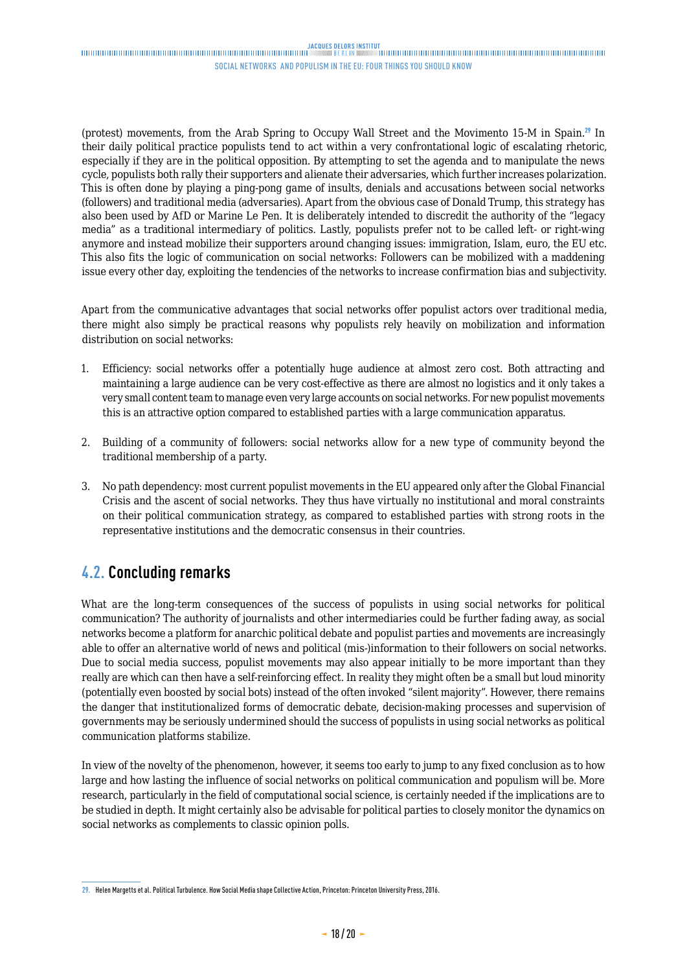<span id="page-17-0"></span>(protest) movements, from the Arab Spring to Occupy Wall Street and the Movimento 15-M in Spain.<sup>29</sup> In their daily political practice populists tend to act within a very confrontational logic of escalating rhetoric, especially if they are in the political opposition. By attempting to set the agenda and to manipulate the news cycle, populists both rally their supporters and alienate their adversaries, which further increases polarization. This is often done by playing a ping-pong game of insults, denials and accusations between social networks (followers) and traditional media (adversaries). Apart from the obvious case of Donald Trump, this strategy has also been used by AfD or Marine Le Pen. It is deliberately intended to discredit the authority of the "legacy media" as a traditional intermediary of politics. Lastly, populists prefer not to be called left- or right-wing anymore and instead mobilize their supporters around changing issues: immigration, Islam, euro, the EU etc. This also fits the logic of communication on social networks: Followers can be mobilized with a maddening issue every other day, exploiting the tendencies of the networks to increase confirmation bias and subjectivity.

Apart from the communicative advantages that social networks offer populist actors over traditional media, there might also simply be practical reasons why populists rely heavily on mobilization and information distribution on social networks:

- 1. Efficiency: social networks offer a potentially huge audience at almost zero cost. Both attracting and maintaining a large audience can be very cost-effective as there are almost no logistics and it only takes a very small content team to manage even very large accounts on social networks. For new populist movements this is an attractive option compared to established parties with a large communication apparatus.
- 2. Building of a community of followers: social networks allow for a new type of community beyond the traditional membership of a party.
- 3. No path dependency: most current populist movements in the EU appeared only after the Global Financial Crisis and the ascent of social networks. They thus have virtually no institutional and moral constraints on their political communication strategy, as compared to established parties with strong roots in the representative institutions and the democratic consensus in their countries.

## **4.2. Concluding remarks**

What are the long-term consequences of the success of populists in using social networks for political communication? The authority of journalists and other intermediaries could be further fading away, as social networks become a platform for anarchic political debate and populist parties and movements are increasingly able to offer an alternative world of news and political (mis-)information to their followers on social networks. Due to social media success, populist movements may also appear initially to be more important than they really are which can then have a self-reinforcing effect. In reality they might often be a small but loud minority (potentially even boosted by social bots) instead of the often invoked "silent majority". However, there remains the danger that institutionalized forms of democratic debate, decision-making processes and supervision of governments may be seriously undermined should the success of populists in using social networks as political communication platforms stabilize.

In view of the novelty of the phenomenon, however, it seems too early to jump to any fixed conclusion as to how large and how lasting the influence of social networks on political communication and populism will be. More research, particularly in the field of computational social science, is certainly needed if the implications are to be studied in depth. It might certainly also be advisable for political parties to closely monitor the dynamics on social networks as complements to classic opinion polls.

**<sup>29.</sup>** Helen Margetts et al. Political Turbulence. How Social Media shape Collective Action, Princeton: Princeton University Press, 2016.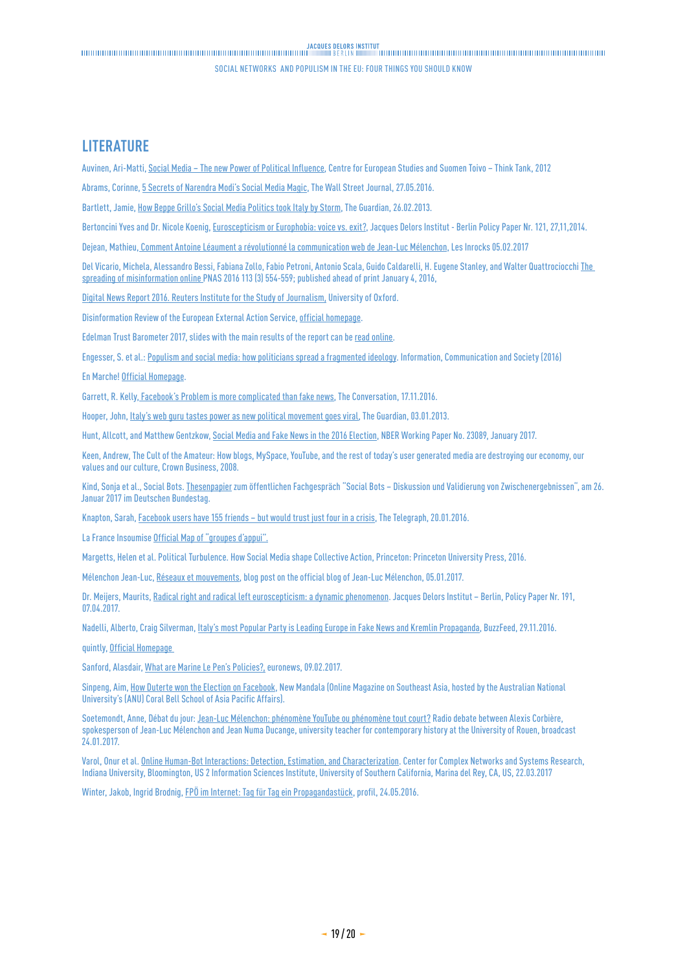#### <span id="page-18-0"></span>**LITERATURE**

Auvinen, Ari-Matti, [Social Media – The new Power of Political Influence](file:///C:\Users\Dittrich\Downloads\Social_Media_in_Politics_Ama%20(1).pdf), Centre for European Studies and Suomen Toivo – Think Tank, 2012

Abrams, Corinne, [5 Secrets of Narendra Modi's Social Media Magic](http://blogs.wsj.com/briefly/2016/05/27/5-secrets-of-narendra-modis-social-media-magic/), The Wall Street Journal, 27.05.2016.

Bartlett, Jamie, [How Beppe Grillo's Social Media Politics took Italy by Storm](https://www.theguardian.com/commentisfree/2013/feb/26/beppe-grillo-politics-social-media-italy), The Guardian, 26.02.2013.

Bertoncini Yves and Dr. Nicole Koenig, [Euroscepticism or Europhobia: voice vs. exit?](http://www.institutdelors.eu/media/euroscepticismoreurophobia-bertoncini-koenig-ne-jdi-nov14.pdf?pdf=ok), Jacques Delors Institut - Berlin Policy Paper Nr. 121, 27,11,2014.

Dejean, Mathieu, [Comment Antoine Léaument a révolutionné la communication web de Jean-Luc Mélenchon,](http://www.lesinrocks.com/2017/02/05/actualite/antoine-leaument-a-revolutionne-communication-web-de-jean-luc-melenchon-11909563/) Les Inrocks 05.02.2017

Del Vicario, Michela, Alessandro Bessi, Fabiana Zollo, Fabio Petroni, Antonio Scala, Guido Caldarelli, H. Eugene Stanley, and Walter Quattrociocchi The [spreading of misinformation online](http://www.pnas.org/content/113/3/554.full) PNAS 2016 113 (3) 554-559; published ahead of print January 4, 2016,

[Digital News Report 2016. Reuters Institute for the Study of Journalism](https://reutersinstitute.politics.ox.ac.uk/sites/default/files/Digital-News-Report-2016.pdf), University of Oxford.

Disinformation Review of the European External Action Service, [official homepage.](https://euvsdisinfo.eu/homepage/disinformation-review/)

Edelman Trust Barometer 2017, slides with the main results of the report can be [read online](http://www.edelman.com/global-results/).

Engesser, S. et al.: [Populism and social media: how politicians spread a fragmented ideology.](http://www.nccr-democracy.uzh.ch/publications/workingpaper/pdf/wp_88.pdf) Information, Communication and Society (2016)

En Marche! [Official Homepage.](https://en-marche.fr/le-mouvement)

Garrett, R. Kelly, [Facebook's Problem is more complicated than fake news,](https://theconversation.com/facebooks-problem-is-more-complicated-than-fake-news-68886) The Conversation, 17.11.2016.

Hooper, John, [Italy's web guru tastes power as new political movement goes viral,](https://www.theguardian.com/world/2013/jan/03/italy-five-star-movement-internet) The Guardian, 03.01.2013.

Hunt, Allcott, and Matthew Gentzkow, [Social Media and Fake News in the 2016 Election,](https://web.stanford.edu/~gentzkow/research/fakenews.pdf) NBER Working Paper No. 23089, January 2017.

Keen, Andrew, The Cult of the Amateur: How blogs, MySpace, YouTube, and the rest of today's user generated media are destroying our economy, our values and our culture, Crown Business, 2008.

Kind, Sonja et al., Social Bots. [Thesenpapier](https://www.bundestag.de/blob/488564/4a87d2d5b867b0464ef457831fb8e642/thesenpapier-data.pdf) zum öffentlichen Fachgespräch "Social Bots – Diskussion und Validierung von Zwischenergebnissen", am 26. Januar 2017 im Deutschen Bundestag.

Knapton, Sarah, [Facebook users have 155 friends – but would trust just four in a crisis](http://www.telegraph.co.uk/news/science/science-news/12108412/Facebook-users-have-155-friends-but-would-trust-just-four-in-a-crisis.html), The Telegraph, 20.01.2016.

La France Insoumise [Official Map of "groupes d'appui".](http://f-i.jlm2017.fr/carte)

Margetts, Helen et al. Political Turbulence. How Social Media shape Collective Action, Princeton: Princeton University Press, 2016.

Mélenchon Jean-Luc, [Réseaux et mouvements,](http://melenchon.fr/2017/01/05/reseaux-et-mouvements/) blog post on the official blog of Jean-Luc Mélenchon, 05.01.2017.

Dr. Meijers, Maurits, [Radical right and radical left euroscepticism: a dynamic phenomenon.](http://www.delorsinstitut.de/2015/wp-content/uploads/2017/04/20170407_Euroscepticism-Meijers.pdf) Jacques Delors Institut - Berlin, Policy Paper Nr. 191, 07.04.2017.

Nadelli, Alberto, Craig Silverman, Italy's most Popular Party is Leading Europe in Fake News and Kremlin Propaganda, BuzzFeed, 29.11.2016.

quintly, [Official Homepage](http://www.pnas.org/content/113/3/554.full) 

Sanford, Alasdair, [What are Marine Le Pen's Policies?,](http://www.euronews.com/2017/02/09/what-do-we-know-about-marine-le-pen-s-policies) euronews, 09.02.2017.

Sinpeng, Aim, [How Duterte won the Election on Facebook,](http://www.newmandala.org/how-duterte-won-the-election-on-facebook/) New Mandala (Online Magazine on Southeast Asia, hosted by the Australian National University's (ANU) Coral Bell School of Asia Pacific Affairs).

Soetemondt, Anne, Débat du jour: [Jean-Luc Mélenchon: phénomène YouTube ou phénomène tout court?](http://www.rfi.fr/emission/20170124-jean-luc-melenchon-phenomene-youtube-phenomene-tout-court) Radio debate between Alexis Corbière, spokesperson of Jean-Luc Mélenchon and Jean Numa Ducange, university teacher for contemporary history at the University of Rouen, broadcast 24.01.2017.

Varol, Onur et al. [Online Human-Bot Interactions: Detection, Estimation, and Characterization.](https://arxiv.org/pdf/1703.03107.pdf) Center for Complex Networks and Systems Research, Indiana University, Bloomington, US 2 Information Sciences Institute, University of Southern California, Marina del Rey, CA, US, 22.03.2017

Winter, Jakob, Ingrid Brodnig, [FPÖ im Internet: Tag für Tag ein Propagandastück,](https://www.profil.at/oesterreich/fpoe-strache-internet-tag-tag-propagandastueck-6378335) profil, 24.05.2016.